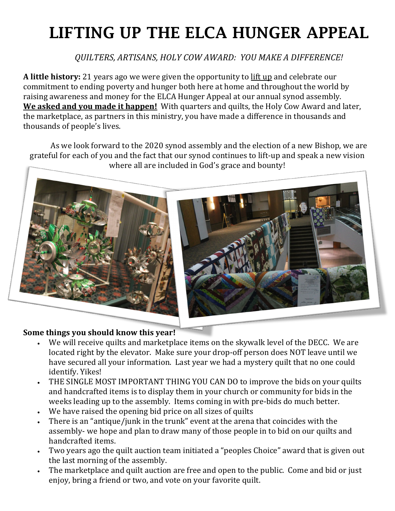## LIFTING UP THE ELCA HUNGER APPEAL

*QUILTERS, ARTISANS, HOLY COW AWARD: YOU MAKE A DIFFERENCE!*

**A little history:** 21 years ago we were given the opportunity to lift up and celebrate our commitment to ending poverty and hunger both here at home and throughout the world by raising awareness and money for the ELCA Hunger Appeal at our annual synod assembly. **We asked and you made it happen!** With quarters and quilts, the Holy Cow Award and later, the marketplace, as partners in this ministry, you have made a difference in thousands and thousands of people's lives.

As we look forward to the 2020 synod assembly and the election of a new Bishop, we are grateful for each of you and the fact that our synod continues to lift-up and speak a new vision where all are included in God's grace and bounty!



## **Some things you should know this year!**

- We will receive quilts and marketplace items on the skywalk level of the DECC. We are located right by the elevator. Make sure your drop-off person does NOT leave until we have secured all your information. Last year we had a mystery quilt that no one could identify. Yikes!
- THE SINGLE MOST IMPORTANT THING YOU CAN DO to improve the bids on your quilts and handcrafted items is to display them in your church or community for bids in the weeks leading up to the assembly. Items coming in with pre-bids do much better.
- We have raised the opening bid price on all sizes of quilts
- There is an "antique/junk in the trunk" event at the arena that coincides with the assembly- we hope and plan to draw many of those people in to bid on our quilts and handcrafted items.
- Two years ago the quilt auction team initiated a "peoples Choice" award that is given out the last morning of the assembly.
- The marketplace and quilt auction are free and open to the public. Come and bid or just enjoy, bring a friend or two, and vote on your favorite quilt.